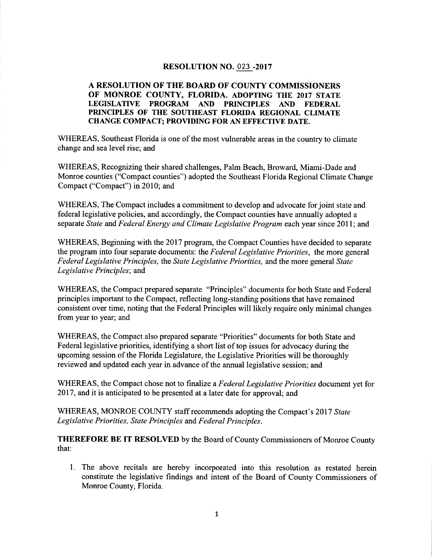#### RESOLUTION NO. 023 -2017

#### A RESOLUTION OF THE BOARD OF COUNTY COMMISSIONERS OF MONROE COUNTY, FLORIDA. ADOPTING THE 2017 STATE LEGISLATIVE PROGRAM AND PRINCIPLES AND FEDERAL PRINCIPLES OF THE SOUTHEAST FLORIDA REGIONAL CLIMATE CHANGE COMPACT; PROVIDING FOR AN EFFECTIVE DATE.

WHEREAS, Southeast Florida is one of the most vulnerable areas in the country to climate change and sea level rise; and

WHEREAS, Recognizing their shared challenges, Palm Beach, Broward, Miami-Dade and Monroe counties ("Compact counties") adopted the Southeast Florida Regional Climate Change Compact ("Compact") in 2010; and

WHEREAS, The Compact includes a commitment to develop and advocate for joint state and federal legislative policies, and accordingly, the Compact counties have annually adopted a separate State and Federal Energy and Climate Legislative Program each year since 2011; and

WHEREAS, Beginning with the 2017 program, the Compact Counties have decided to separate the program into four separate documents: the Federal Legislative Priorities, the more general Federal Legislative Principles, the State Legislative Priorities, and the more general State Legislative Principles; and

WHEREAS, the Compact prepared separate "Principles" documents for both State and Federal principles important to the Compact, reflecting long-standing positions that have remained consistent over time, noting that the Federal Principles will likely require only minimal changes from year to year; and

WHEREAS, the Compact also prepared separate "Priorities" documents for both State and Federal legislative priorities, identifying a short list of top issues for advocacy during the upcoming session of the Florida Legislature, the Legislative Priorities will be thoroughly reviewed and updated each year in advance of the annual legislative session; and

WHEREAS, the Compact chose not to finalize a *Federal Legislative Priorities* document yet for 2017, and it is anticipated to be presented at a later date for approval; and reviewed and updated each year in advance of the annual legislative session; and<br>WHEREAS, the Compact chose not to finalize a *Federal Legislative Priorities* document<br>2017, and it is anticipated to be presented at a later

Legislative Priorities, State Principles and Federal Principles.

THEREFORE BE IT RESOLVED by the Board of County Commissioners of Monroe County that

1 The above recitals are hereby incorporated into this resolution as restated herein constitute the legislative findings and intent of the Board of County Commissioners of Monroe County, Florida.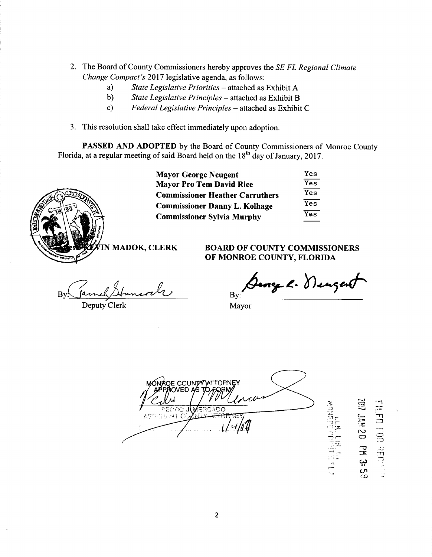- 2. The Board of County Commissioners hereby approves the *SE FL Regional Climate* The Board of County Commissioners hereby approves<br>Change Compact's 2017 legislative agenda, as follows:<br>a) State Legislative Priorities – attached as
	- a State Legislative Priorities attached as Exhibit A<br>b) State Legislative Principles attached as Exhibit B
	- State Legislative Principles attached as Exhibit B
	- c) Federal Legislative Principles attached as Exhibit C
- 3. This resolution shall take effect immediately upon adoption.

PASSED AND ADOPTED by the Board of County Commissioners of Monroe County Florida, at a regular meeting of said Board held on the 18<sup>th</sup> day of January, 2017.



| <b>Mayor George Neugent</b>            | Yes |
|----------------------------------------|-----|
| <b>Mayor Pro Tem David Rice</b>        | Yes |
| <b>Commissioner Heather Carruthers</b> | Yes |
| <b>Commissioner Danny L. Kolhage</b>   | Yes |
| <b>Commissioner Sylvia Murphy</b>      | Yes |
|                                        |     |

N MADOK, CLERK BOARD OF COUNTY COMMISSIONERS OF MONROE COUNTY, FLORIDA

 $By \frac{Gumbel}{\text{Henceal}}$  By

Deputy Clerk Mayor

George K. Deugent

PANIC M OE COUNTY ATTOPNEY  $\frac{1}{2}$ FEDRO JUMEROADO<br>ASG 3 JANT COMILIA ATTORIJUEY 1  $\frac{1}{\sqrt{4M}}$ 

**PD** 50 بب  $\mathsf{C}$ 

r<br>Fri<br>m

 $\Xi$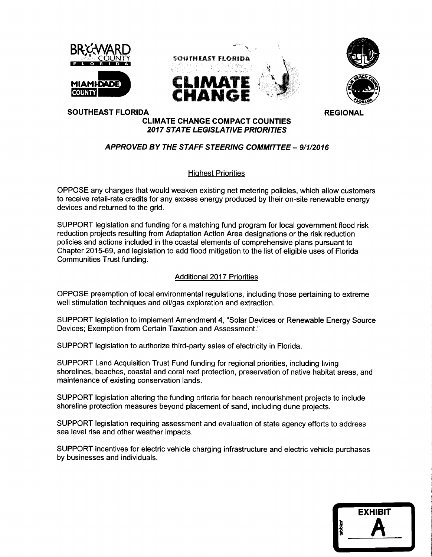





SOUTHEAST FLORIDA **REGIONAL** 

## CLIMATE CHANGE COMPACT COUNTIES

### APPROVED BY THE STAFF STEERING COMMITTEE - 9/1/2016

2017 STATE LEGISLATIVE PRIORITIES

#### Highest Priorities

OPPOSE any changes that would weaken existing net metering policies which allow customers to receive retail-rate credits for any excess energy produced by their on-site renewable energy devices and returned to the grid

SUPPORT legislation and funding for a matching fund program for local government flood risk reduction projects resulting from Adaptation Action Area designations or the risk reduction policies and actions included in the coastal elements of comprehensive plans pursuant to Chapter 201569 and legislation to add flood mitigation to the list of eligible uses of Florida Communities Trust funding

#### Additional 2017 Priorities

OPPOSE preemption of local environmental regulations, including those pertaining to extreme well stimulation techniques and oil/gas exploration and extraction.

SUPPORT legislation to implement Amendment 4, "Solar Devices or Renewable Energy Source Devices; Exemption from Certain Taxation and Assessment."

SUPPORT legislation to authorize third-party sales of electricity in Florida.

SUPPORT Land Acquisition Trust Fund funding for regional priorities including living shorelines, beaches, coastal and coral reef protection, preservation of native habitat areas, and maintenance of existing conservation lands

SUPPORT legislation altering the funding criteria for beach renourishment projects to include shoreline protection measures beyond placement of sand, including dune projects.

SUPPORT legislation requiring assessment and evaluation of state agency efforts to address sea level rise and other weather impacts

SUPPORT incentives for electric vehicle charging infrastructure and electric vehicle purchases by businesses and individuals

|          | <b>EXHIBIT</b> |
|----------|----------------|
| tabbles' |                |
|          |                |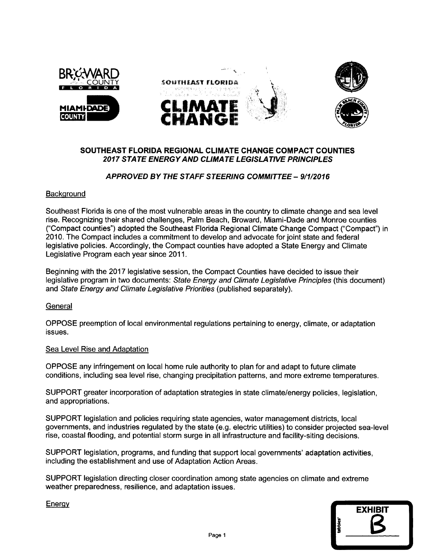

# SOUTHEAST FLORIDA REGIONAL CLIMATE CHANGE COMPACT COUNTIES 2017 STATE ENERGY AND CLIMATE LEGISLATIVE PRINCIPLES EAST FLORIDA REGIONAL CLIMATE CHANGE COMPACT COI<br>!017 STATE ENERGY AND CLIMATE LEGISLATIVE PRINCIPLE<br>APPROVED BY THE STAFF STEERING COMMITTEE – 9/1/2016

#### **Background**

Southeast Florida is one of the most vulnerable areas in the country to climate change and sea level rise. Recognizing their shared challenges, Palm Beach, Broward, Miami-Dade and Monroe counties ("Compact counties") adopted the Southeast Florida Regional Climate Change Compact ("Compact") in 2010 The Compact includes a commitment to develop and advocate for joint state and federal legislative policies Accordingly the Compact counties have adopted a State Energy and Climate Legislative Program each year since 2011

Beginning with the 2017 legislative session the Compact Counties have decided to issue their legislative program in two documents: State Energy and Climate Legislative Principles (this document) and State Energy and Climate Legislative Priorities (published separately).

#### **General**

OPPOSE preemption of local environmental regulations pertaining to energy, climate, or adaptation issues

#### Sea Level Rise and Adaptation

OPPOSE any infringement on local home rule authority to plan for and adapt to future climate conditions, including sea level rise, changing precipitation patterns, and more extreme temperatures.

SUPPORT greater incorporation of adaptation strategies in state climate/energy policies, legislation. and appropriations

SUPPORT legislation and policies requiring state agencies, water management districts, local governments, and industries regulated by the state (e.g. electric utilities) to consider projected sea-level rise, coastal flooding, and potential storm surge in all infrastructure and facility-siting decisions.

SUPPORT legislation, programs, and funding that support local governments' adaptation activities, including the establishment and use of Adaptation Action Areas.

SUPPORT legislation directing closer coordination among state agencies on climate and extreme weather preparedness, resilience, and adaptation issues.



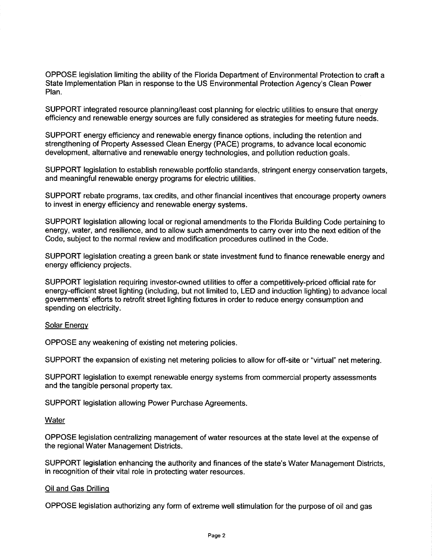OPPOSE legislation limiting the ability of the Florida Department of Environmental Protection to craft a OPPOSE legislation limiting the ability of the Florida Department of Environmental Protection to cra<br>State Implementation Plan in response to the US Environmental Protection Agency's Clean Power<br>Plan. Plan

SUPPORT integrated resource planning/least cost planning for electric utilities to ensure that energy efficiency and renewable energy sources are fully considered as strategies for meeting future needs

SUPPORT energy efficiency and renewable energy finance options including the retention and strengthening of Property Assessed Clean Energy (PACE) programs, to advance local economic development, alternative and renewable energy technologies, and pollution reduction goals.

SUPPORT legislation to establish renewable portfolio standards, stringent energy conservation targets, and meaningful renewable energy programs for electric utilities

SUPPORT rebate programs, tax credits, and other financial incentives that encourage property owners to invest in energy efficiency and renewable energy systems

SUPPORT legislation allowing local or regional amendments to the Florida Building Code pertaining to energy, water, and resilience, and to allow such amendments to carry over into the next edition of the Code, subject to the normal review and modification procedures outlined in the Code.

SUPPORT legislation creating a green bank or state investment fund to finance renewable energy and energy efficiency projects

SUPPORT legislation requiring investor-owned utilities to offer a competitively-priced official rate for energy-efficient street lighting (including, but not limited to, LED and induction lighting) to advance local governments' efforts to retrofit street lighting fixtures in order to reduce energy consumption and spending on electricity.

#### **Solar Energy**

OPPOSE any weakening of existing net metering policies

SUPPORT the expansion of existing net metering policies to allow for off-site or "virtual" net metering.

SUPPORT legislation to exempt renewable energy systems from commercial property assessments and the tangible personal property tax

SUPPORT legislation allowing Power Purchase Agreements

#### **Water**

OPPOSE legislation centralizing management of water resources at the state level at the expense of the regional Water Management Districts

SUPPORT legislation enhancing the authority and finances of the state's Water Management Districts, in recognition of their vital role in protecting water resources

#### Oil and Gas Drilling

OPPOSE legislation authorizing any form of extreme well stimulation for the purpose of oil and gas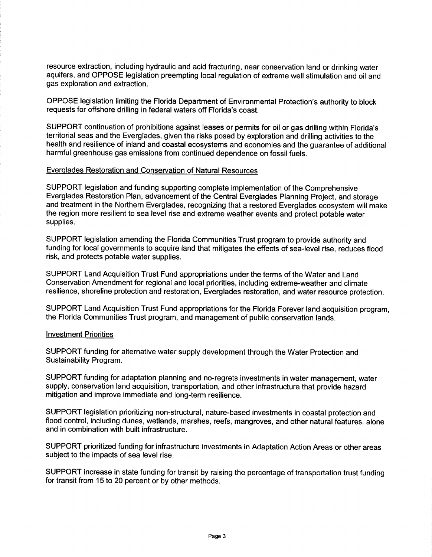resource extraction, including hydraulic and acid fracturing, near conservation land or drinking water aquifers and OPPOSE legislation preempting local regulation of extreme well stimulation and oil and gas exploration and extraction resource extraction, including hydraulic and acid fracturing, near conservation land or drinking wate<br>aquifers, and OPPOSE legislation preempting local regulation of extreme well stimulation and oil an<br>gas exploration and

OPPOSE legislation limiting the Florida Department of Environmental Protection's authority to block<br>requests for offshore drilling in federal waters off Florida's coast.<br>SUPPORT continuation of prohibitions against leases

territorial seas and the Everglades, given the risks posed by exploration and drilling activities to the health and resilience of inland and coastal ecosystems and economies and the guarantee of additional harmful greenhouse gas emissions from continued dependence on fossil fuels

### Everglades Restoration and Conservation of Natural Resources

SUPPORT legislation and funding supporting complete implementation of the Comprehensive Everglades Restoration Plan, advancement of the Central Everglades Planning Project, and storage and treatment in the Northern Everglades, recognizing that a restored Everglades ecosystem will make the region more resilient to sea level rise and extreme weather events and protect potable water supplies

SUPPORT legislation amending the Florida Communities Trust program to provide authority and funding for local governments to acquire land that mitigates the effects of sea-level rise, reduces flood risk, and protects potable water supplies.

SUPPORT Land Acquisition Trust Fund appropriations under the terms of the Water and Land Conservation Amendment for regional and local priorities, including extreme-weather and climate resilience, shoreline protection and restoration, Everglades restoration, and water resource protection.

SUPPORT Land Acquisition Trust Fund appropriations for the Florida Forever land acquisition program, the Florida Communities Trust program, and management of public conservation lands.

#### Investment Priorities

SUPPORT funding for alternative water supply development through the Water Protection and Sustainability Program

SUPPORT funding for adaptation planning and no-regrets investments in water management, water supply, conservation land acquisition, transportation, and other infrastructure that provide hazard mitigation and improve immediate and long-term resilience.

SUPPORT legislation prioritizing non-structural, nature-based investments in coastal protection and flood control, including dunes, wetlands, marshes, reefs, mangroves, and other natural features, alone and in combination with built infrastructure

SUPPORT prioritized funding for infrastructure investments in Adaptation Action Areas or other areas subject to the impacts of sea level rise

SUPPORT increase in state funding for transit by raising the percentage of transportation trust funding for transit from 15 to 20 percent or by other methods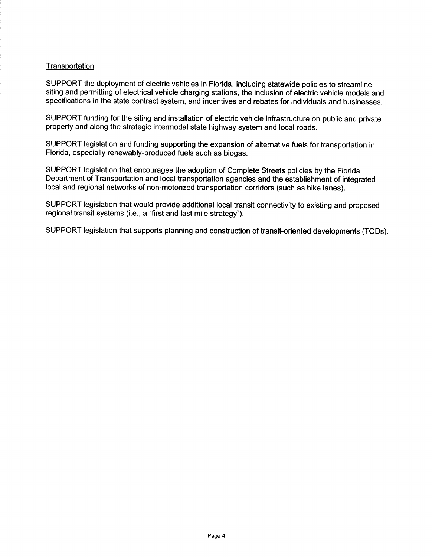#### **Transportation**

SUPPORT the deployment of electric vehicles in Florida, including statewide policies to streamline siting and permitting of electrical vehicle charging stations, the inclusion of electric vehicle models and specifications in the state contract system, and incentives and rebates for individuals and businesses.

SUPPORT funding for the siting and installation of electric vehicle infrastructure on public and private property and along the strategic intermodal state highway system and local roads

SUPPORT legislation and funding supporting the expansion of alternative fuels for transportation in Florida, especially renewably-produced fuels such as biogas.

SUPPORT legislation that encourages the adoption of Complete Streets policies by the Florida Department of Transportation and local transportation agencies and the establishment of integrated local and regional networks of non-motorized transportation corridors (such as bike lanes). SUPPORT legislation that encourages the adoption of Co<br>Department of Transportation and local transportation age<br>local and regional networks of non-motorized transportation<br>SUPPORT legislation that would provide additional

SUPPORT legislation that would provide additional local transit connectivity to existing and proposed

SUPPORT legislation that supports planning and construction of transit-oriented developments (TODs).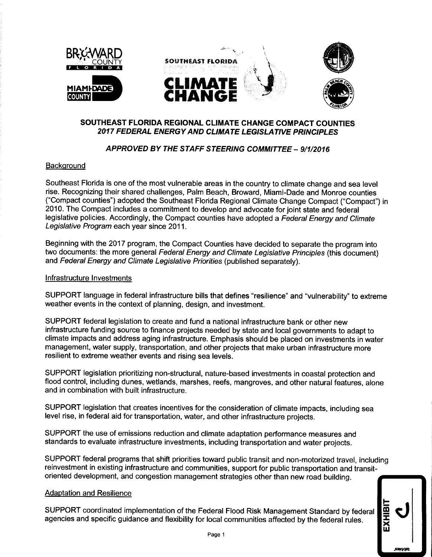

# SOUTHEAST FLORIDA REGIONAL CLIMATE CHANGE COMPACT COUNTIES 2017 FEDERAL ENERGYAND CLIMATE LEGISLATIVE PRINCIPLES EAST FLORIDA REGIONAL CLIMATE CHANGE COMPACT CO<br>17 FEDERAL ENERGY AND CLIMATE LEGISLATIVE PRINCIPL<br>APPROVED BY THE STAFF STEERING COMMITTEE – 9/1/2016

#### **Background**

Southeast Florida is one of the most vulnerable areas in the country to climate change and sea level rise. Recognizing their shared challenges, Palm Beach, Broward, Miami-Dade and Monroe counties ("Compact counties") adopted the Southeast Florida Regional Climate Change Compact ("Compact") in 2010 The Compact includes a commitment to develop and advocate for joint state and federal legislative policies. Accordingly, the Compact counties have adopted a Federal Energy and Climate Legislative Program each year since 2011

Beginning with the 2017 program, the Compact Counties have decided to separate the program into two documents: the more general Federal Energy and Climate Legislative Principles (this document) and Federal Energy and Climate Legislative Priorities (published separately).

#### Infrastructure Investments

SUPPORT language in federal infrastructure bills that defines "resilience" and "vulnerability" to extreme weather events in the context of planning, design, and investment.

SUPPORT federal legislation to create and fund a national infrastructure bank or other new infrastructure funding source to finance projects needed by state and local governments to adapt to climate impacts and address aging infrastructure Emphasis should be placed on investments in water management, water supply, transportation, and other projects that make urban infrastructure more resilient to extreme weather events and rising sea levels

SUPPORT legislation prioritizing non-structural, nature-based investments in coastal protection and flood control, including dunes, wetlands, marshes, reefs, mangroves, and other natural features, alone and in combination with built infrastructure

SUPPORT legislation that creates incentives for the consideration of climate impacts, including sea level rise, in federal aid for transportation, water, and other infrastructure projects.

SUPPORT the use of emissions reduction and climate adaptation performance measures and standards to evaluate infrastructure investments, including transportation and water projects.

SUPPORT federal programs that shift priorities toward public transit and non-motorized travel, including reinvestment in existing infrastructure and communities, support for public transportation and transitoriented development, and congestion management strategies other than new road building.

#### Adaptation and Resilience

SUPPORT coordinated implementation of the Federal Flood Risk Management Standard by federal agencies and specific guidance and flexibility for local communities affected by the federal rules.

W

lQ4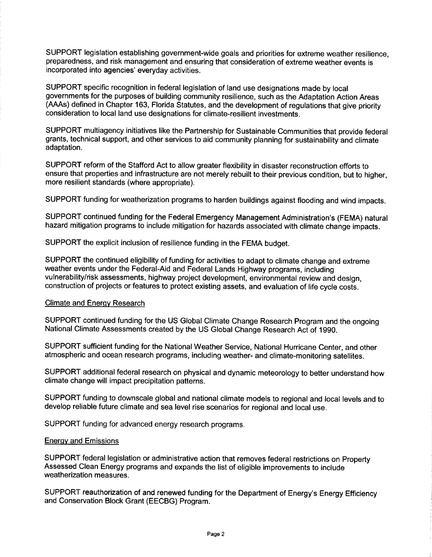SUPPORT legislation establishing government-wide goals and priorities for extreme weather resilience, preparedness, and risk management and ensuring that consideration of extreme weather events is incorporated into agencies' everyday activities.

SUPPORT specific recognition in federal legislation of land use designations made by local governments for the purposes of building community resilience, such as the Adaptation Action Areas (AAAs) defined in Chapter 163, Florida Statutes, and the development of regulations that give priority consideration to local land use designations for climate resilient investments

SUPPORT multiagency initiatives like the Partnership for Sustainable Communities that provide federal grants, technical support, and other services to aid community planning for sustainability and climate adaptation

SUPPORT reform of the Stafford Act to allow greater flexibility in disaster reconstruction efforts to ensure that properties and infrastructure are not merely rebuilt to their previous condition, but to higher, more resilient standards (where appropriate). grants, technical support, and other services to aid community planning for sustainability and climate<br>adaptation.<br>SUPPORT reform of the Stafford Act to allow greater flexibility in disaster reconstruction efforts to<br>ensur

SUPPORT funding for weatherization programs to harden buildings against flooding and wind impacts

hazard mitigation programs to include mitigation for hazards associated with climate change impacts

SUPPORT the explicit inclusion of resilience funding in the FEMA budget

SUPPORT the continued eligibility of funding for activities to adapt to climate change and extreme weather events under the Federal-Aid and Federal Lands Highway programs, including vulnerability/risk assessments, highway project development, environmental review and design. construction of projects or features to protect existing assets, and evaluation of life cycle costs.

#### Climate and Energy Research

SUPPORT continued funding for the US Global Climate Change Research Program and the ongoing National Climate Assessments created by the US Global Change Research Act of 1990

SUPPORT sufficient funding for the National Weather Service, National Hurricane Center, and other atmospheric and ocean research programs, including weather- and climate-monitoring satellites.

SUPPORT additional federal research on physical and dynamic meteorology to better understand how climate change will impact precipitation patterns

SUPPORT funding to downscale global and national climate models to regional and local levels and to develop reliable future climate and sea level rise scenarios for regional and local use

SUPPORT funding for advanced energy research programs

#### Energy and Emissions

SUPPORT federal legislation or administrative action that removes federal restrictions on Property Assessed Clean Energy programs and expands the list of eligible improvements to include weatherization measures

SUPPORT reauthorization of and renewed funding for the Department of Energy's Energy Efficiency and Conservation Block Grant (EECBG) Program.